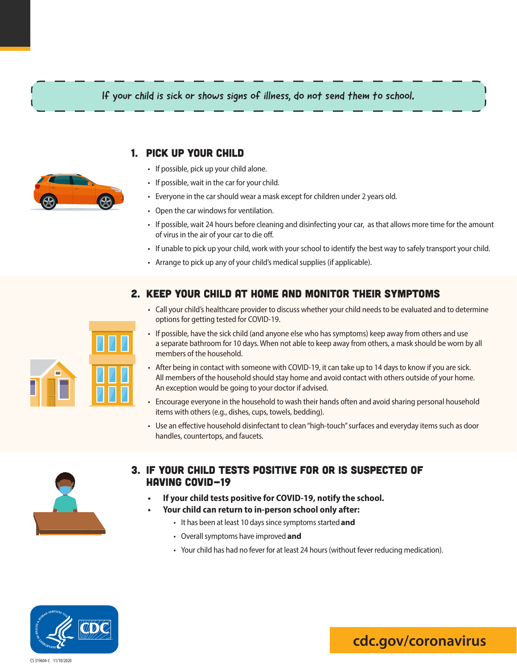# If your child is sick or shows signs of illness, do not send them to school.

# 1. Pick Up Your Child

- If possible, pick up your child alone.
- If possible, wait in the car for your child.
- Everyone in the car should wear a mask except for children under 2 years old.
- Open the car windows for ventilation.
- If possible, wait 24 hours before cleaning and disinfecting your car, as that allows more time for the amount of virus in the air of your car to die off.
- If unable to pick up your child, work with your school to identify the best way to safely transport your child.
- Arrange to pick up any of your child's medical supplies (if applicable).

# 2. Keep your child at home and monitor their symptoms

- Call your child's healthcare provider to discuss whether your child needsto be evaluated and to determine options for getting tested for COVID-19.
- If possible, have the sick child (and anyone else who has symptoms) keep away from others and use a separate bathroom for 10 days.When not able to keep away from others, a mask should be worn by all members of the household.
- After being in contact with someone with COVID-19, it can take up to 14 days to know if you are sick. All members of the household should stay home and avoid contact with others outside of your home. An exception would be going to your doctor if advised.
- Encourage everyone in the household to wash their hands often and avoid sharing personal household items with others (e.g., dishes, cups, towels, bedding).
- Use an effective household disinfectant to clean "high-touch" surfaces and everyday items such as door handles, countertops, and faucets.



# 3. If your child tests positive for or is suspected of having COVID-19

- **• If your child tests positive for COVID-19, notify the school.**
- **• Your child can return to in-person school only after:**
	- It has been at least 10 days since symptoms started and
	- Overallsymptoms have improved **and**
	- Your child has had no fever for at least 24 hours (without fever reducing medication).



#### CS 319604-C 11/10/2020



**cdc.gov/coronavirus**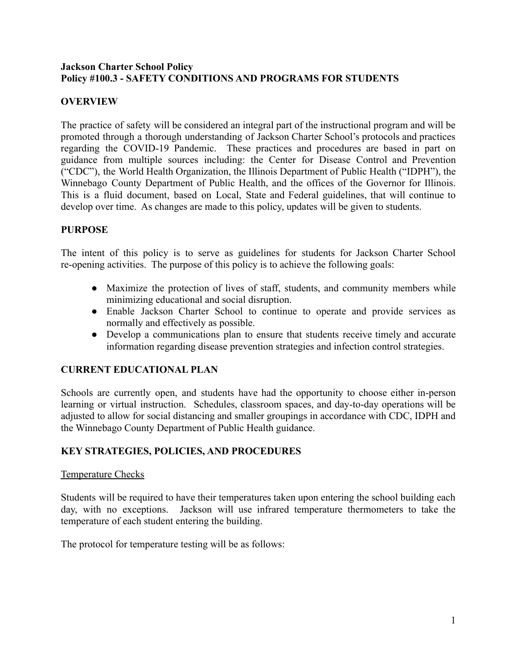#### **Jackson Charter School Policy Policy #100.3 - SAFETY CONDITIONS AND PROGRAMS FOR STUDENTS**

# **OVERVIEW**

The practice of safety will be considered an integral part of the instructional program and will be promoted through a thorough understanding of Jackson Charter School's protocols and practices regarding the COVID-19 Pandemic. These practices and procedures are based in part on guidance from multiple sources including: the Center for Disease Control and Prevention ("CDC"), the World Health Organization, the Illinois Department of Public Health ("IDPH"), the Winnebago County Department of Public Health, and the offices of the Governor for Illinois. This is a fluid document, based on Local, State and Federal guidelines, that will continue to develop over time. As changes are made to this policy, updates will be given to students.

#### **PURPOSE**

The intent of this policy is to serve as guidelines for students for Jackson Charter School re-opening activities. The purpose of this policy is to achieve the following goals:

- Maximize the protection of lives of staff, students, and community members while minimizing educational and social disruption.
- Enable Jackson Charter School to continue to operate and provide services as normally and effectively as possible.
- Develop a communications plan to ensure that students receive timely and accurate information regarding disease prevention strategies and infection control strategies.

### **CURRENT EDUCATIONAL PLAN**

Schools are currently open, and students have had the opportunity to choose either in-person learning or virtual instruction. Schedules, classroom spaces, and day-to-day operations will be adjusted to allow for social distancing and smaller groupings in accordance with CDC, IDPH and the Winnebago County Department of Public Health guidance.

#### **KEY STRATEGIES, POLICIES, AND PROCEDURES**

#### Temperature Checks

Students will be required to have their temperatures taken upon entering the school building each day, with no exceptions. Jackson will use infrared temperature thermometers to take the temperature of each student entering the building.

The protocol for temperature testing will be as follows: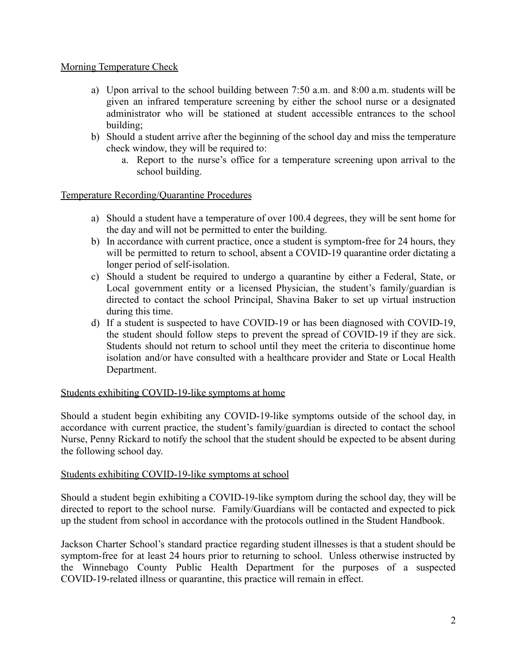### Morning Temperature Check

- a) Upon arrival to the school building between 7:50 a.m. and 8:00 a.m. students will be given an infrared temperature screening by either the school nurse or a designated administrator who will be stationed at student accessible entrances to the school building;
- b) Should a student arrive after the beginning of the school day and miss the temperature check window, they will be required to:
	- a. Report to the nurse's office for a temperature screening upon arrival to the school building.

# Temperature Recording/Quarantine Procedures

- a) Should a student have a temperature of over 100.4 degrees, they will be sent home for the day and will not be permitted to enter the building.
- b) In accordance with current practice, once a student is symptom-free for 24 hours, they will be permitted to return to school, absent a COVID-19 quarantine order dictating a longer period of self-isolation.
- c) Should a student be required to undergo a quarantine by either a Federal, State, or Local government entity or a licensed Physician, the student's family/guardian is directed to contact the school Principal, Shavina Baker to set up virtual instruction during this time.
- d) If a student is suspected to have COVID-19 or has been diagnosed with COVID-19, the student should follow steps to prevent the spread of COVID-19 if they are sick. Students should not return to school until they meet the criteria to discontinue home isolation and/or have consulted with a healthcare provider and State or Local Health Department.

### Students exhibiting COVID-19-like symptoms at home

Should a student begin exhibiting any COVID-19-like symptoms outside of the school day, in accordance with current practice, the student's family/guardian is directed to contact the school Nurse, Penny Rickard to notify the school that the student should be expected to be absent during the following school day.

### Students exhibiting COVID-19-like symptoms at school

Should a student begin exhibiting a COVID-19-like symptom during the school day, they will be directed to report to the school nurse. Family/Guardians will be contacted and expected to pick up the student from school in accordance with the protocols outlined in the Student Handbook.

Jackson Charter School's standard practice regarding student illnesses is that a student should be symptom-free for at least 24 hours prior to returning to school. Unless otherwise instructed by the Winnebago County Public Health Department for the purposes of a suspected COVID-19-related illness or quarantine, this practice will remain in effect.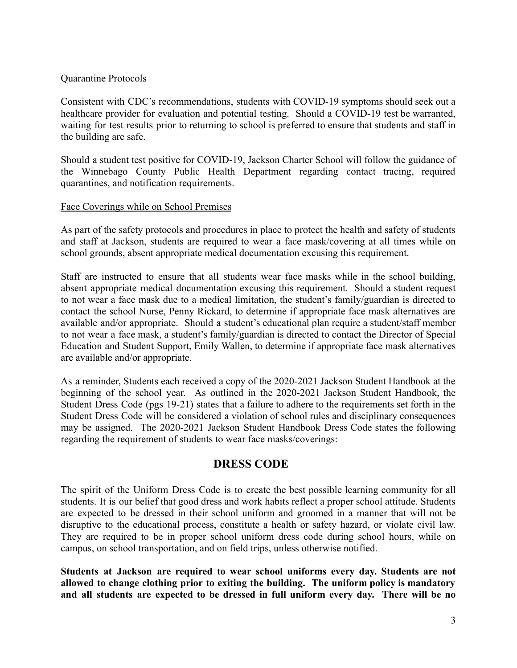#### Quarantine Protocols

Consistent with CDC's recommendations, students with COVID-19 symptoms should seek out a healthcare provider for evaluation and potential testing. Should a COVID-19 test be warranted, waiting for test results prior to returning to school is preferred to ensure that students and staff in the building are safe.

Should a student test positive for COVID-19, Jackson Charter School will follow the guidance of the Winnebago County Public Health Department regarding contact tracing, required quarantines, and notification requirements.

#### Face Coverings while on School Premises

As part of the safety protocols and procedures in place to protect the health and safety of students and staff at Jackson, students are required to wear a face mask/covering at all times while on school grounds, absent appropriate medical documentation excusing this requirement.

Staff are instructed to ensure that all students wear face masks while in the school building, absent appropriate medical documentation excusing this requirement. Should a student request to not wear a face mask due to a medical limitation, the student's family/guardian is directed to contact the school Nurse, Penny Rickard, to determine if appropriate face mask alternatives are available and/or appropriate. Should a student's educational plan require a student/staff member to not wear a face mask, a student's family/guardian is directed to contact the Director of Special Education and Student Support, Emily Wallen, to determine if appropriate face mask alternatives are available and/or appropriate.

As a reminder, Students each received a copy of the 2020-2021 Jackson Student Handbook at the beginning of the school year. As outlined in the 2020-2021 Jackson Student Handbook, the Student Dress Code (pgs 19-21) states that a failure to adhere to the requirements set forth in the Student Dress Code will be considered a violation of school rules and disciplinary consequences may be assigned. The 2020-2021 Jackson Student Handbook Dress Code states the following regarding the requirement of students to wear face masks/coverings:

# **DRESS CODE**

The spirit of the Uniform Dress Code is to create the best possible learning community for all students. It is our belief that good dress and work habits reflect a proper school attitude. Students are expected to be dressed in their school uniform and groomed in a manner that will not be disruptive to the educational process, constitute a health or safety hazard, or violate civil law. They are required to be in proper school uniform dress code during school hours, while on campus, on school transportation, and on field trips, unless otherwise notified.

**Students at Jackson are required to wear school uniforms every day. Students are not allowed to change clothing prior to exiting the building. The uniform policy is mandatory and all students are expected to be dressed in full uniform every day. There will be no**